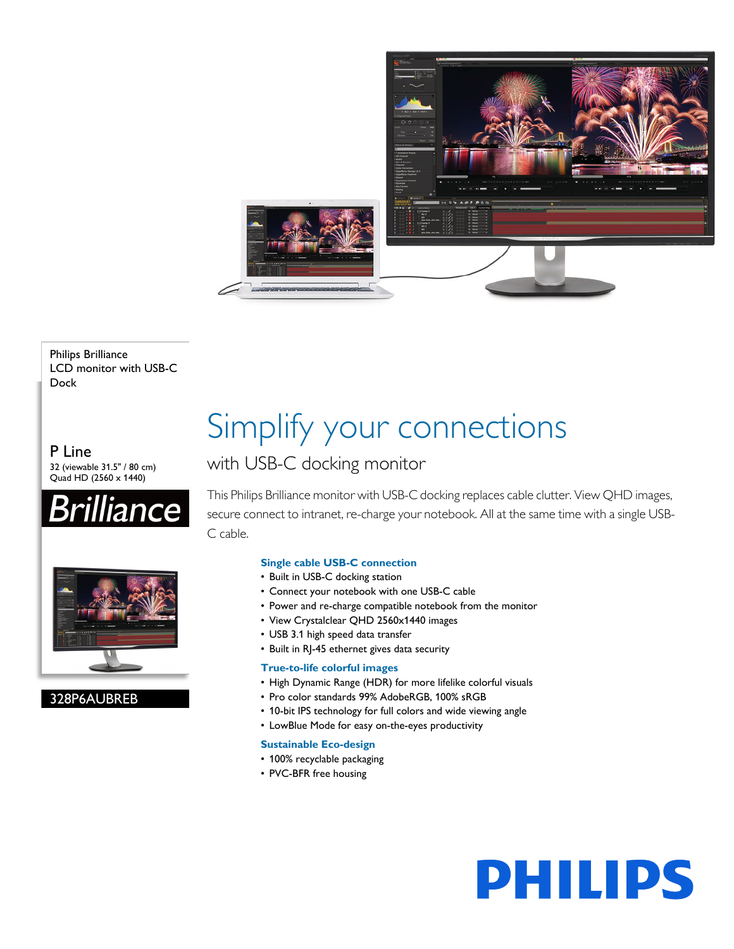

Philips Brilliance LCD monitor with USB-C Dock

P Line 32 (viewable 31.5" / 80 cm) Quad HD (2560 x 1440)





328P6AUBREB

# Simplify your connections

## with USB-C docking monitor

This Philips Brilliance monitor with USB-C docking replaces cable clutter. View QHD images, secure connect to intranet, re-charge your notebook. All at the same time with a single USB-C cable.

### **Single cable USB-C connection**

- Built in USB-C docking station
- Connect your notebook with one USB-C cable
- Power and re-charge compatible notebook from the monitor
- View Crystalclear QHD 2560x1440 images
- USB 3.1 high speed data transfer
- Built in RJ-45 ethernet gives data security

#### **True-to-life colorful images**

- High Dynamic Range (HDR) for more lifelike colorful visuals
- Pro color standards 99% AdobeRGB, 100% sRGB
- 10-bit IPS technology for full colors and wide viewing angle
- LowBlue Mode for easy on-the-eyes productivity

#### **Sustainable Eco-design**

- 100% recyclable packaging
- PVC-BFR free housing

# **PHILIPS**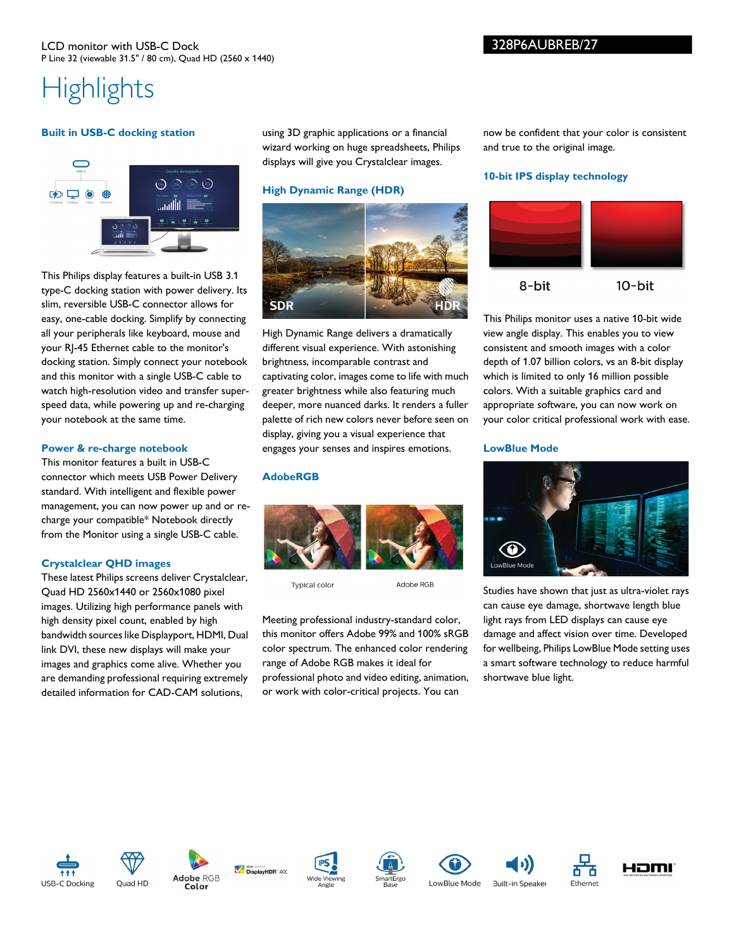#### LCD monitor with USB-C Dock P Line 32 (viewable 31.5" / 80 cm), Quad HD (2560 x 1440)

# **Highlights**

#### **Built in USB-C docking station**



This Philips display features a built-in USB 3.1 type-C docking station with power delivery. Its slim, reversible USB-C connector allows for easy, one-cable docking. Simplify by connecting all your peripherals like keyboard, mouse and your RJ-45 Ethernet cable to the monitor's docking station. Simply connect your notebook and this monitor with a single USB-C cable to watch high-resolution video and transfer superspeed data, while powering up and re-charging your notebook at the same time.

#### **Power & re-charge notebook**

This monitor features a built in USB-C connector which meets USB Power Delivery standard. With intelligent and flexible power management, you can now power up and or recharge your compatible\* Notebook directly from the Monitor using a single USB-C cable.

#### **Crystalclear QHD images**

These latest Philips screens deliver Crystalclear, Quad HD 2560x1440 or 2560x1080 pixel images. Utilizing high performance panels with high density pixel count, enabled by high bandwidth sources like Displayport, HDMI, Dual link DVI, these new displays will make your images and graphics come alive. Whether you are demanding professional requiring extremely detailed information for CAD-CAM solutions,

using 3D graphic applications or a financial wizard working on huge spreadsheets, Philips displays will give you Crystalclear images.

#### **High Dynamic Range (HDR)**



High Dynamic Range delivers a dramatically different visual experience. With astonishing brightness, incomparable contrast and captivating color, images come to life with much greater brightness while also featuring much deeper, more nuanced darks. It renders a fuller palette of rich new colors never before seen on display, giving you a visual experience that engages your senses and inspires emotions.

#### **AdobeRGB**



**Typical colo** 

Adobe RGB

Meeting professional industry-standard color, this monitor offers Adobe 99% and 100% sRGB color spectrum. The enhanced color rendering range of Adobe RGB makes it ideal for professional photo and video editing, animation, or work with color-critical projects. You can

now be confident that your color is consistent and true to the original image.

#### **10-bit IPS display technology**



This Philips monitor uses a native 10-bit wide view angle display. This enables you to view consistent and smooth images with a color depth of 1.07 billion colors, vs an 8-bit display which is limited to only 16 million possible colors. With a suitable graphics card and appropriate software, you can now work on your color critical professional work with ease.

#### **LowBlue Mode**



Studies have shown that just as ultra-violet rays can cause eye damage, shortwave length blue light rays from LED displays can cause eye damage and affect vision over time. Developed for wellbeing, Philips LowBlue Mode setting uses a smart software technology to reduce harmful shortwave blue light.

















Ethernet